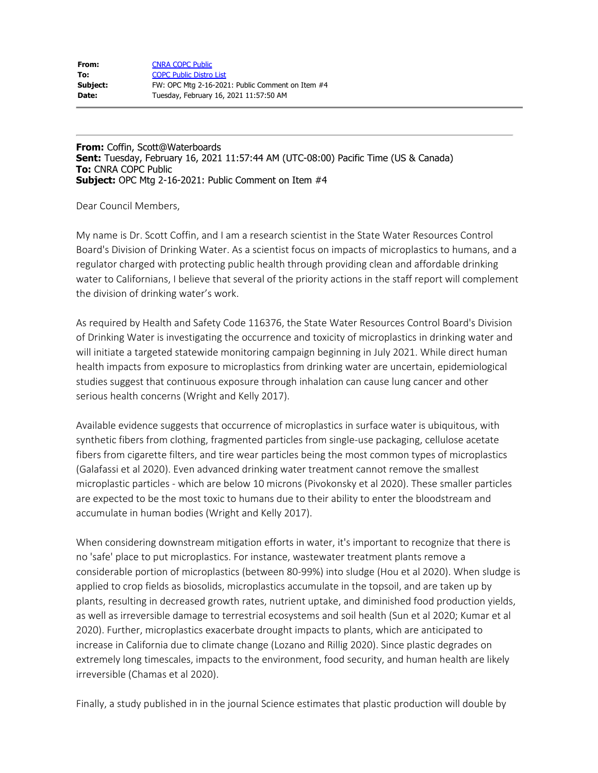| From:    | <b>CNRA COPC Public</b>                          |
|----------|--------------------------------------------------|
| To:      | <b>COPC Public Distro List</b>                   |
| Subject: | FW: OPC Mtg 2-16-2021: Public Comment on Item #4 |
| Date:    | Tuesday, February 16, 2021 11:57:50 AM           |

**From:** Coffin, Scott@Waterboards **Sent:** Tuesday, February 16, 2021 11:57:44 AM (UTC-08:00) Pacific Time (US & Canada) **To:** CNRA COPC Public **Subject:** OPC Mtg 2-16-2021: Public Comment on Item #4

Dear Council Members,

My name is Dr. Scott Coffin, and I am a research scientist in the State Water Resources Control Board's Division of Drinking Water. As a scientist focus on impacts of microplastics to humans, and a regulator charged with protecting public health through providing clean and affordable drinking water to Californians, I believe that several of the priority actions in the staff report will complement the division of drinking water's work.

As required by Health and Safety Code 116376, the State Water Resources Control Board's Division of Drinking Water is investigating the occurrence and toxicity of microplastics in drinking water and will initiate a targeted statewide monitoring campaign beginning in July 2021. While direct human health impacts from exposure to microplastics from drinking water are uncertain, epidemiological studies suggest that continuous exposure through inhalation can cause lung cancer and other serious health concerns (Wright and Kelly 2017).

Available evidence suggests that occurrence of microplastics in surface water is ubiquitous, with synthetic fibers from clothing, fragmented particles from single-use packaging, cellulose acetate fibers from cigarette filters, and tire wear particles being the most common types of microplastics (Galafassi et al 2020). Even advanced drinking water treatment cannot remove the smallest microplastic particles - which are below 10 microns (Pivokonsky et al 2020). These smaller particles are expected to be the most toxic to humans due to their ability to enter the bloodstream and accumulate in human bodies (Wright and Kelly 2017).

When considering downstream mitigation efforts in water, it's important to recognize that there is no 'safe' place to put microplastics. For instance, wastewater treatment plants remove a considerable portion of microplastics (between 80-99%) into sludge (Hou et al 2020). When sludge is applied to crop fields as biosolids, microplastics accumulate in the topsoil, and are taken up by plants, resulting in decreased growth rates, nutrient uptake, and diminished food production yields, as well as irreversible damage to terrestrial ecosystems and soil health (Sun et al 2020; Kumar et al 2020). Further, microplastics exacerbate drought impacts to plants, which are anticipated to increase in California due to climate change (Lozano and Rillig 2020). Since plastic degrades on extremely long timescales, impacts to the environment, food security, and human health are likely irreversible (Chamas et al 2020).

Finally, a study published in in the journal Science estimates that plastic production will double by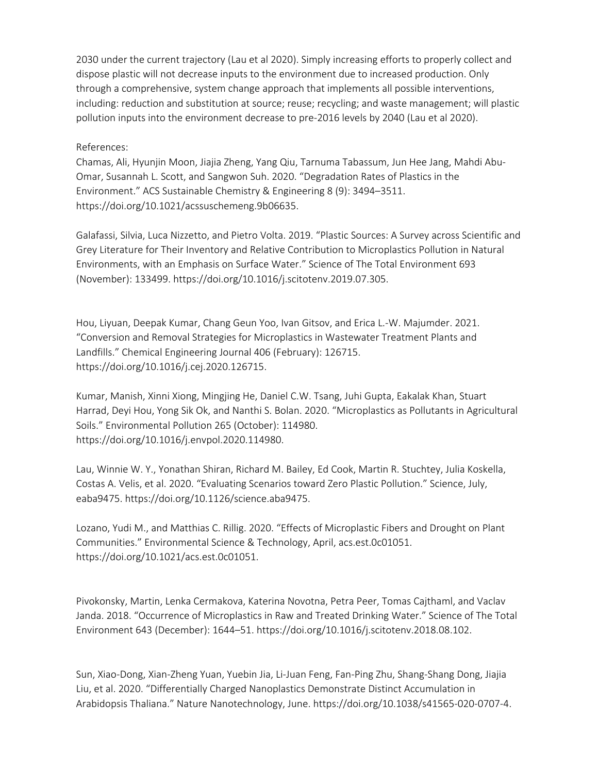2030 under the current trajectory (Lau et al 2020). Simply increasing efforts to properly collect and dispose plastic will not decrease inputs to the environment due to increased production. Only through a comprehensive, system change approach that implements all possible interventions, including: reduction and substitution at source; reuse; recycling; and waste management; will plastic pollution inputs into the environment decrease to pre-2016 levels by 2040 (Lau et al 2020).

## References:

Chamas, Ali, Hyunjin Moon, Jiajia Zheng, Yang Qiu, Tarnuma Tabassum, Jun Hee Jang, Mahdi Abu-Omar, Susannah L. Scott, and Sangwon Suh. 2020. "Degradation Rates of Plastics in the Environment." ACS Sustainable Chemistry & Engineering 8 (9): 3494–3511. <https://doi.org/10.1021/acssuschemeng.9b06635>.

Galafassi, Silvia, Luca Nizzetto, and Pietro Volta. 2019. "Plastic Sources: A Survey across Scientific and Grey Literature for Their Inventory and Relative Contribution to Microplastics Pollution in Natural Environments, with an Emphasis on Surface Water." Science of The Total Environment 693 (November): 133499.<https://doi.org/10.1016/j.scitotenv.2019.07.305>.

Hou, Liyuan, Deepak Kumar, Chang Geun Yoo, Ivan Gitsov, and Erica L.-W. Majumder. 2021. "Conversion and Removal Strategies for Microplastics in Wastewater Treatment Plants and Landfills." Chemical Engineering Journal 406 (February): 126715. <https://doi.org/10.1016/j.cej.2020.126715>.

Kumar, Manish, Xinni Xiong, Mingjing He, Daniel C.W. Tsang, Juhi Gupta, Eakalak Khan, Stuart Harrad, Deyi Hou, Yong Sik Ok, and Nanthi S. Bolan. 2020. "Microplastics as Pollutants in Agricultural Soils." Environmental Pollution 265 (October): 114980. <https://doi.org/10.1016/j.envpol.2020.114980>.

Lau, Winnie W. Y., Yonathan Shiran, Richard M. Bailey, Ed Cook, Martin R. Stuchtey, Julia Koskella, Costas A. Velis, et al. 2020. "Evaluating Scenarios toward Zero Plastic Pollution." Science, July, eaba9475.<https://doi.org/10.1126/science.aba9475>.

Lozano, Yudi M., and Matthias C. Rillig. 2020. "Effects of Microplastic Fibers and Drought on Plant Communities." Environmental Science & Technology, April, acs.est.0c01051. <https://doi.org/10.1021/acs.est.0c01051>.

Pivokonsky, Martin, Lenka Cermakova, Katerina Novotna, Petra Peer, Tomas Cajthaml, and Vaclav Janda. 2018. "Occurrence of Microplastics in Raw and Treated Drinking Water." Science of The Total Environment 643 (December): 1644–51. [https://doi.org/10.1016/j.scitotenv.2018.08.102.](https://doi.org/10.1016/j.scitotenv.2018.08.102)

Sun, Xiao-Dong, Xian-Zheng Yuan, Yuebin Jia, Li-Juan Feng, Fan-Ping Zhu, Shang-Shang Dong, Jiajia Liu, et al. 2020. "Differentially Charged Nanoplastics Demonstrate Distinct Accumulation in Arabidopsis Thaliana." Nature Nanotechnology, June. <https://doi.org/10.1038/s41565-020-0707-4>.